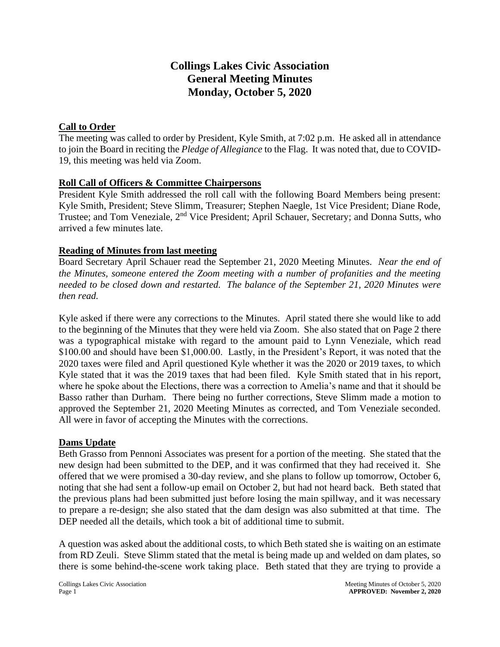## **Collings Lakes Civic Association General Meeting Minutes Monday, October 5, 2020**

## **Call to Order**

The meeting was called to order by President, Kyle Smith, at 7:02 p.m. He asked all in attendance to join the Board in reciting the *Pledge of Allegiance* to the Flag. It was noted that, due to COVID-19, this meeting was held via Zoom.

## **Roll Call of Officers & Committee Chairpersons**

President Kyle Smith addressed the roll call with the following Board Members being present: Kyle Smith, President; Steve Slimm, Treasurer; Stephen Naegle, 1st Vice President; Diane Rode, Trustee; and Tom Veneziale, 2<sup>nd</sup> Vice President; April Schauer, Secretary; and Donna Sutts, who arrived a few minutes late.

## **Reading of Minutes from last meeting**

Board Secretary April Schauer read the September 21, 2020 Meeting Minutes. *Near the end of the Minutes, someone entered the Zoom meeting with a number of profanities and the meeting needed to be closed down and restarted. The balance of the September 21, 2020 Minutes were then read.*

Kyle asked if there were any corrections to the Minutes. April stated there she would like to add to the beginning of the Minutes that they were held via Zoom. She also stated that on Page 2 there was a typographical mistake with regard to the amount paid to Lynn Veneziale, which read \$100.00 and should have been \$1,000.00. Lastly, in the President's Report, it was noted that the 2020 taxes were filed and April questioned Kyle whether it was the 2020 or 2019 taxes, to which Kyle stated that it was the 2019 taxes that had been filed. Kyle Smith stated that in his report, where he spoke about the Elections, there was a correction to Amelia's name and that it should be Basso rather than Durham. There being no further corrections, Steve Slimm made a motion to approved the September 21, 2020 Meeting Minutes as corrected, and Tom Veneziale seconded. All were in favor of accepting the Minutes with the corrections.

## **Dams Update**

Beth Grasso from Pennoni Associates was present for a portion of the meeting. She stated that the new design had been submitted to the DEP, and it was confirmed that they had received it. She offered that we were promised a 30-day review, and she plans to follow up tomorrow, October 6, noting that she had sent a follow-up email on October 2, but had not heard back. Beth stated that the previous plans had been submitted just before losing the main spillway, and it was necessary to prepare a re-design; she also stated that the dam design was also submitted at that time. The DEP needed all the details, which took a bit of additional time to submit.

A question was asked about the additional costs, to which Beth stated she is waiting on an estimate from RD Zeuli. Steve Slimm stated that the metal is being made up and welded on dam plates, so there is some behind-the-scene work taking place. Beth stated that they are trying to provide a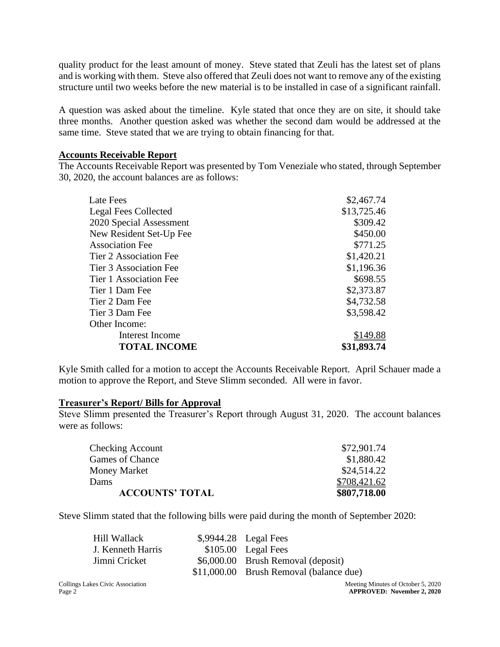quality product for the least amount of money. Steve stated that Zeuli has the latest set of plans and is working with them. Steve also offered that Zeuli does not want to remove any of the existing structure until two weeks before the new material is to be installed in case of a significant rainfall.

A question was asked about the timeline. Kyle stated that once they are on site, it should take three months. Another question asked was whether the second dam would be addressed at the same time. Steve stated that we are trying to obtain financing for that.

## **Accounts Receivable Report**

The Accounts Receivable Report was presented by Tom Veneziale who stated, through September 30, 2020, the account balances are as follows:

| Late Fees                     | \$2,467.74  |
|-------------------------------|-------------|
| <b>Legal Fees Collected</b>   | \$13,725.46 |
| 2020 Special Assessment       | \$309.42    |
| New Resident Set-Up Fee       | \$450.00    |
| <b>Association Fee</b>        | \$771.25    |
| <b>Tier 2 Association Fee</b> | \$1,420.21  |
| <b>Tier 3 Association Fee</b> | \$1,196.36  |
| Tier 1 Association Fee        | \$698.55    |
| Tier 1 Dam Fee                | \$2,373.87  |
| Tier 2 Dam Fee                | \$4,732.58  |
| Tier 3 Dam Fee                | \$3,598.42  |
| Other Income:                 |             |
| Interest Income               | \$149.88    |
| <b>TOTAL INCOME</b>           | \$31,893.74 |

Kyle Smith called for a motion to accept the Accounts Receivable Report. April Schauer made a motion to approve the Report, and Steve Slimm seconded. All were in favor.

#### **Treasurer's Report/ Bills for Approval**

Steve Slimm presented the Treasurer's Report through August 31, 2020. The account balances were as follows:

| \$807,718.00 |
|--------------|
| \$708,421.62 |
| \$24,514.22  |
| \$1,880.42   |
| \$72,901.74  |
|              |

Steve Slimm stated that the following bills were paid during the month of September 2020:

| Hill Wallack      | $\text{\$,9944.28}$ Legal Fees          |
|-------------------|-----------------------------------------|
| J. Kenneth Harris | $$105.00$ Legal Fees                    |
| Jimni Cricket     | \$6,000.00 Brush Removal (deposit)      |
|                   | \$11,000.00 Brush Removal (balance due) |

Collings Lakes Civic Association Meeting Minutes of October 5, 2020 Page 2 **APPROVED: November 2, 2020**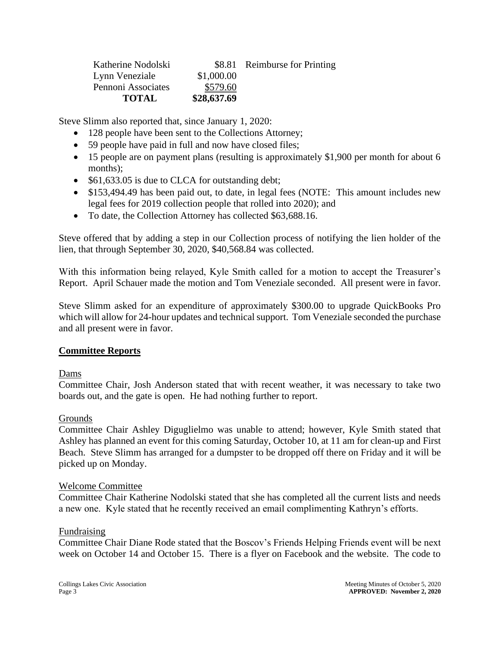| Katherine Nodolski |             | \$8.81 Reimburse for Printing |
|--------------------|-------------|-------------------------------|
| Lynn Veneziale     | \$1,000.00  |                               |
| Pennoni Associates | \$579.60    |                               |
| <b>TOTAL</b>       | \$28,637.69 |                               |

Steve Slimm also reported that, since January 1, 2020:

- 128 people have been sent to the Collections Attorney;
- 59 people have paid in full and now have closed files;
- 15 people are on payment plans (resulting is approximately \$1,900 per month for about 6 months);
- \$61,633.05 is due to CLCA for outstanding debt;
- \$153,494.49 has been paid out, to date, in legal fees (NOTE: This amount includes new legal fees for 2019 collection people that rolled into 2020); and
- To date, the Collection Attorney has collected \$63,688.16.

Steve offered that by adding a step in our Collection process of notifying the lien holder of the lien, that through September 30, 2020, \$40,568.84 was collected.

With this information being relayed, Kyle Smith called for a motion to accept the Treasurer's Report. April Schauer made the motion and Tom Veneziale seconded. All present were in favor.

Steve Slimm asked for an expenditure of approximately \$300.00 to upgrade QuickBooks Pro which will allow for 24-hour updates and technical support. Tom Veneziale seconded the purchase and all present were in favor.

## **Committee Reports**

#### Dams

Committee Chair, Josh Anderson stated that with recent weather, it was necessary to take two boards out, and the gate is open. He had nothing further to report.

#### Grounds

Committee Chair Ashley Diguglielmo was unable to attend; however, Kyle Smith stated that Ashley has planned an event for this coming Saturday, October 10, at 11 am for clean-up and First Beach. Steve Slimm has arranged for a dumpster to be dropped off there on Friday and it will be picked up on Monday.

#### Welcome Committee

Committee Chair Katherine Nodolski stated that she has completed all the current lists and needs a new one. Kyle stated that he recently received an email complimenting Kathryn's efforts.

#### Fundraising

Committee Chair Diane Rode stated that the Boscov's Friends Helping Friends event will be next week on October 14 and October 15. There is a flyer on Facebook and the website. The code to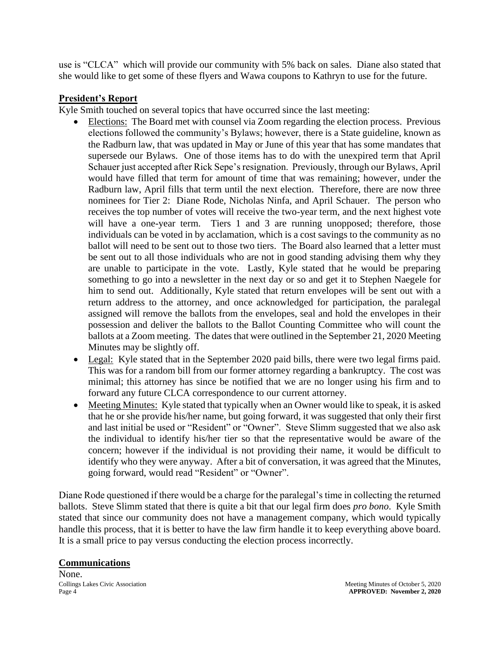use is "CLCA" which will provide our community with 5% back on sales. Diane also stated that she would like to get some of these flyers and Wawa coupons to Kathryn to use for the future.

## **President's Report**

Kyle Smith touched on several topics that have occurred since the last meeting:

- Elections: The Board met with counsel via Zoom regarding the election process. Previous elections followed the community's Bylaws; however, there is a State guideline, known as the Radburn law, that was updated in May or June of this year that has some mandates that supersede our Bylaws. One of those items has to do with the unexpired term that April Schauer just accepted after Rick Sepe's resignation. Previously, through our Bylaws, April would have filled that term for amount of time that was remaining; however, under the Radburn law, April fills that term until the next election. Therefore, there are now three nominees for Tier 2: Diane Rode, Nicholas Ninfa, and April Schauer. The person who receives the top number of votes will receive the two-year term, and the next highest vote will have a one-year term. Tiers 1 and 3 are running unopposed; therefore, those individuals can be voted in by acclamation, which is a cost savings to the community as no ballot will need to be sent out to those two tiers. The Board also learned that a letter must be sent out to all those individuals who are not in good standing advising them why they are unable to participate in the vote. Lastly, Kyle stated that he would be preparing something to go into a newsletter in the next day or so and get it to Stephen Naegele for him to send out. Additionally, Kyle stated that return envelopes will be sent out with a return address to the attorney, and once acknowledged for participation, the paralegal assigned will remove the ballots from the envelopes, seal and hold the envelopes in their possession and deliver the ballots to the Ballot Counting Committee who will count the ballots at a Zoom meeting. The dates that were outlined in the September 21, 2020 Meeting Minutes may be slightly off.
- Legal: Kyle stated that in the September 2020 paid bills, there were two legal firms paid. This was for a random bill from our former attorney regarding a bankruptcy. The cost was minimal; this attorney has since be notified that we are no longer using his firm and to forward any future CLCA correspondence to our current attorney.
- Meeting Minutes: Kyle stated that typically when an Owner would like to speak, it is asked that he or she provide his/her name, but going forward, it was suggested that only their first and last initial be used or "Resident" or "Owner". Steve Slimm suggested that we also ask the individual to identify his/her tier so that the representative would be aware of the concern; however if the individual is not providing their name, it would be difficult to identify who they were anyway. After a bit of conversation, it was agreed that the Minutes, going forward, would read "Resident" or "Owner".

Diane Rode questioned if there would be a charge for the paralegal's time in collecting the returned ballots. Steve Slimm stated that there is quite a bit that our legal firm does *pro bono*. Kyle Smith stated that since our community does not have a management company, which would typically handle this process, that it is better to have the law firm handle it to keep everything above board. It is a small price to pay versus conducting the election process incorrectly.

## **Communications**

None.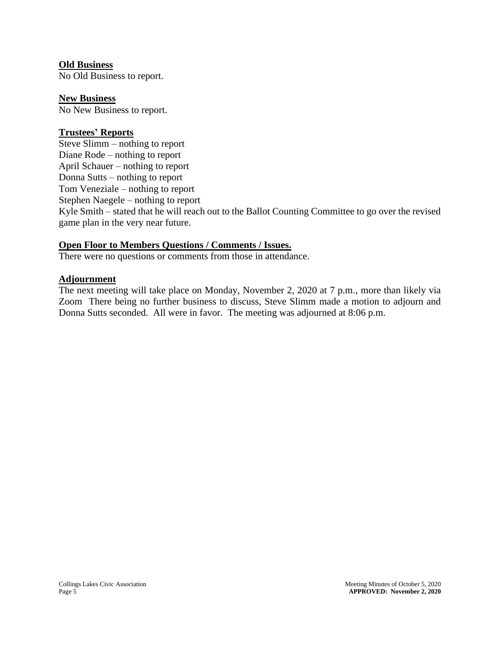## **Old Business**

No Old Business to report.

**New Business**  No New Business to report.

#### **Trustees' Reports**

Steve Slimm – nothing to report Diane Rode – nothing to report April Schauer – nothing to report Donna Sutts – nothing to report Tom Veneziale – nothing to report Stephen Naegele – nothing to report Kyle Smith – stated that he will reach out to the Ballot Counting Committee to go over the revised game plan in the very near future.

## **Open Floor to Members Questions / Comments / Issues.**

There were no questions or comments from those in attendance.

## **Adjournment**

The next meeting will take place on Monday, November 2, 2020 at 7 p.m., more than likely via Zoom There being no further business to discuss, Steve Slimm made a motion to adjourn and Donna Sutts seconded. All were in favor. The meeting was adjourned at 8:06 p.m.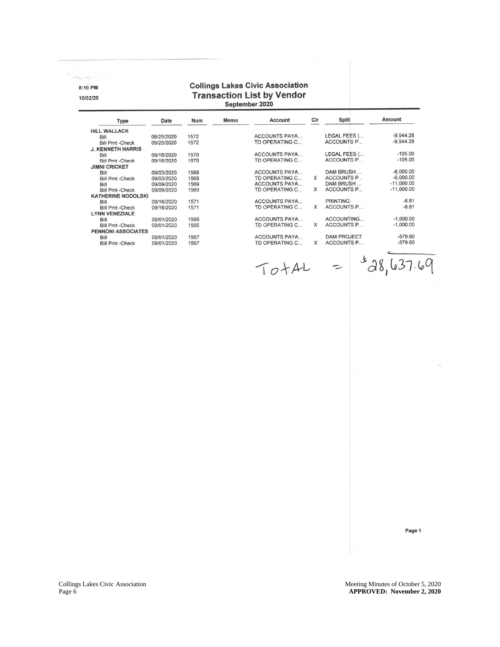8:10 PM

10/02/20

# **Collings Lakes Civic Association** Transaction List by Vendor<br>
September 2020

| <b>HILL WALLACK</b><br>Bill<br><b>Bill Pmt -Check</b><br><b>J. KENNETH HARRIS</b><br>Bill<br><b>Bill Pmt -Check</b><br><b>JIMNI CRICKET</b><br>Bill<br><b>Bill Pmt -Check</b> | 09/25/2020<br>09/25/2020<br>09/16/2020<br>09/16/2020 | 1572<br>1572 | ACCOUNTS PAYA<br>TD OPERATING C |          | LEGAL FEES (       | $-9.944.28$  |
|-------------------------------------------------------------------------------------------------------------------------------------------------------------------------------|------------------------------------------------------|--------------|---------------------------------|----------|--------------------|--------------|
|                                                                                                                                                                               |                                                      |              |                                 |          |                    |              |
|                                                                                                                                                                               |                                                      |              |                                 |          |                    |              |
|                                                                                                                                                                               |                                                      |              |                                 |          | <b>ACCOUNTS P</b>  | $-9.944.28$  |
|                                                                                                                                                                               |                                                      |              |                                 |          |                    |              |
|                                                                                                                                                                               |                                                      | 1570         | <b>ACCOUNTS PAYA</b>            |          | LEGAL FEES (       | $-105.00$    |
|                                                                                                                                                                               |                                                      | 1570         | TD OPERATING C                  |          | <b>ACCOUNTS P</b>  | $-105.00$    |
|                                                                                                                                                                               |                                                      |              |                                 |          |                    |              |
|                                                                                                                                                                               | 09/03/2020                                           | 1568         | <b>ACCOUNTS PAYA</b>            |          | DAM BRUSH          | $-6,000.00$  |
|                                                                                                                                                                               | 09/03/2020                                           | 1568         | TD OPERATING C                  | X        | <b>ACCOUNTS P</b>  | $-6,000.00$  |
| Bill                                                                                                                                                                          | 09/09/2020                                           | 1569         | <b>ACCOUNTS PAYA</b>            |          | DAM BRUSH          | $-11,000.00$ |
| <b>Bill Pmt -Check</b>                                                                                                                                                        | 09/09/2020                                           | 1569         | TD OPERATING C                  | X        | <b>ACCOUNTS P</b>  | $-11,000.00$ |
| <b>KATHERINE NODOLSKI</b>                                                                                                                                                     |                                                      |              |                                 |          |                    |              |
| Bill                                                                                                                                                                          | 09/16/2020                                           | 1571         | <b>ACCOUNTS PAYA</b>            |          | <b>PRINTING</b>    | $-8.81$      |
| <b>Bill Pmt -Check</b>                                                                                                                                                        | 09/16/2020                                           | 1571         | TD OPERATING C                  | X        | <b>ACCOUNTS P</b>  | $-8.81$      |
| <b>LYNN VENEZIALE</b>                                                                                                                                                         |                                                      |              |                                 |          |                    |              |
| Bill                                                                                                                                                                          | 09/01/2020                                           | 1566         | <b>ACCOUNTS PAYA</b>            |          | ACCOUNTING         | $-1,000.00$  |
| <b>Bill Pmt -Check</b>                                                                                                                                                        | 09/01/2020                                           | 1566         | TD OPERATING C                  | X        | <b>ACCOUNTS P</b>  | $-1,000.00$  |
| <b>PENNONI ASSOCIATES</b>                                                                                                                                                     |                                                      |              |                                 |          |                    |              |
| Bill                                                                                                                                                                          | 09/01/2020                                           | 1567         | <b>ACCOUNTS PAYA</b>            |          | <b>DAM PROJECT</b> | $-579.60$    |
| <b>Bill Pmt -Check</b>                                                                                                                                                        | 09/01/2020                                           | 1567         | TD OPERATING C                  | $\times$ | <b>ACCOUNTS P</b>  | $-579.60$    |

 $TO+AL = $38,637.69$ 

Page 1

Collings Lakes Civic Association Collings Lakes Civic Association Meeting Minutes of October 5, 2020 Page 6

6 **APPROVED: November 2, 2020**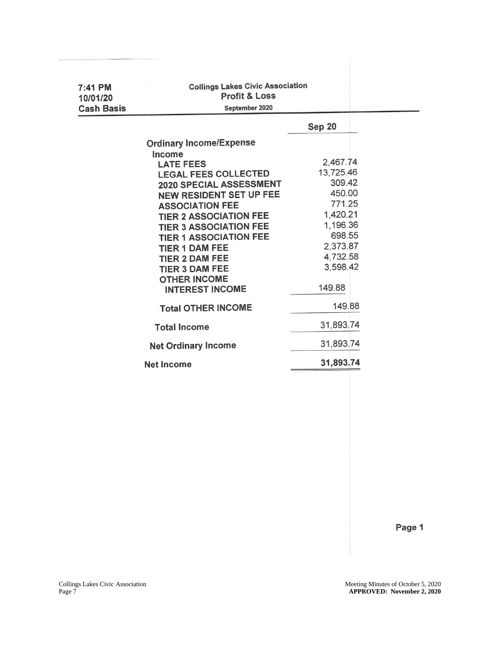| 7:41 PM<br>10/01/20 | <b>Collings Lakes Civic Association</b><br><b>Profit &amp; Loss</b> |           |  |  |  |
|---------------------|---------------------------------------------------------------------|-----------|--|--|--|
| <b>Cash Basis</b>   | September 2020                                                      |           |  |  |  |
|                     |                                                                     | Sep 20    |  |  |  |
|                     | <b>Ordinary Income/Expense</b>                                      |           |  |  |  |
|                     | Income                                                              |           |  |  |  |
|                     | <b>LATE FEES</b>                                                    | 2,467.74  |  |  |  |
|                     | <b>LEGAL FEES COLLECTED</b>                                         | 13,725.46 |  |  |  |
|                     | 2020 SPECIAL ASSESSMENT                                             | 309.42    |  |  |  |
|                     | NEW RESIDENT SET UP FEE                                             | 450.00    |  |  |  |
|                     | <b>ASSOCIATION FEE</b>                                              | 771.25    |  |  |  |
|                     | <b>TIER 2 ASSOCIATION FEE</b>                                       | 1,420.21  |  |  |  |
|                     | <b>TIER 3 ASSOCIATION FEE</b>                                       | 1,196.36  |  |  |  |
|                     | <b>TIER 1 ASSOCIATION FEE</b>                                       | 698.55    |  |  |  |
|                     | <b>TIER 1 DAM FEE</b>                                               | 2,373.87  |  |  |  |
|                     | <b>TIER 2 DAM FEE</b>                                               | 4,732.58  |  |  |  |
|                     | <b>TIER 3 DAM FEE</b>                                               | 3,598.42  |  |  |  |
|                     | <b>OTHER INCOME</b>                                                 |           |  |  |  |
|                     | <b>INTEREST INCOME</b>                                              | 149.88    |  |  |  |
|                     | <b>Total OTHER INCOME</b>                                           | 149.88    |  |  |  |
|                     | <b>Total Income</b>                                                 | 31,893.74 |  |  |  |
|                     | <b>Net Ordinary Income</b>                                          | 31,893.74 |  |  |  |
|                     | <b>Net Income</b>                                                   | 31,893.74 |  |  |  |
|                     |                                                                     |           |  |  |  |

Page 1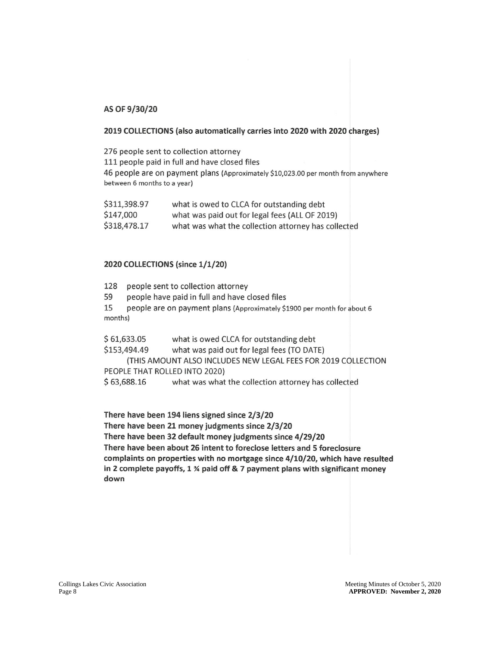#### AS OF 9/30/20

#### 2019 COLLECTIONS (also automatically carries into 2020 with 2020 charges)

276 people sent to collection attorney 111 people paid in full and have closed files 46 people are on payment plans (Approximately \$10,023.00 per month from anywhere between 6 months to a year)

| \$311,398.97 | what is owed to CLCA for outstanding debt           |
|--------------|-----------------------------------------------------|
| \$147,000    | what was paid out for legal fees (ALL OF 2019)      |
| \$318,478.17 | what was what the collection attorney has collected |

#### 2020 COLLECTIONS (since 1/1/20)

| 128                       | people sent to collection attorney                                      |  |
|---------------------------|-------------------------------------------------------------------------|--|
| 59                        | people have paid in full and have closed files                          |  |
| 15                        | people are on payment plans (Approximately \$1900 per month for about 6 |  |
| months)                   |                                                                         |  |
| $C$ $C$ 1 $C$ $D$ $D$ $D$ | what is owned $CCA$ for outstanding dabt                                |  |

what is owed CLCA for outstanding debt \$ 61,633.05 \$153,494.49 what was paid out for legal fees (TO DATE) (THIS AMOUNT ALSO INCLUDES NEW LEGAL FEES FOR 2019 COLLECTION PEOPLE THAT ROLLED INTO 2020)  $$63,688.16$ what was what the collection attorney has collected

There have been 194 liens signed since 2/3/20 There have been 21 money judgments since 2/3/20 There have been 32 default money judgments since 4/29/20 There have been about 26 intent to foreclose letters and 5 foreclosure

complaints on properties with no mortgage since 4/10/20, which have resulted in 2 complete payoffs, 1 % paid off & 7 payment plans with significant money down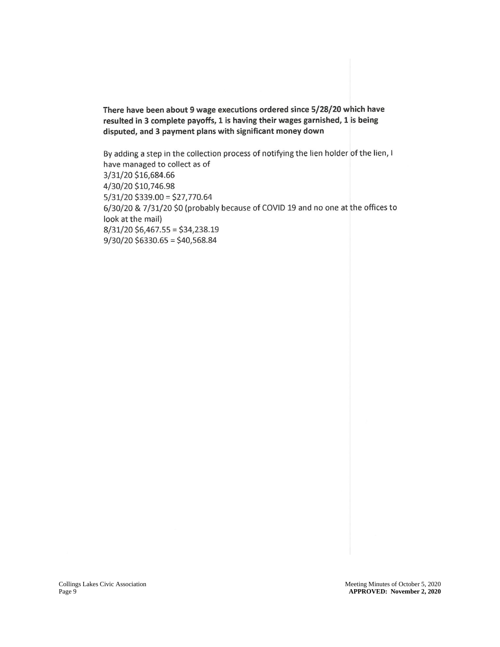There have been about 9 wage executions ordered since 5/28/20 which have resulted in 3 complete payoffs, 1 is having their wages garnished, 1 is being disputed, and 3 payment plans with significant money down

By adding a step in the collection process of notifying the lien holder of the lien, I have managed to collect as of 3/31/20 \$16,684.66 4/30/20 \$10,746.98  $5/31/20$  \$339.00 = \$27,770.64 6/30/20 & 7/31/20 \$0 (probably because of COVID 19 and no one at the offices to look at the mail)  $8/31/20$  \$6,467.55 = \$34,238.19  $9/30/20$  \$6330.65 = \$40,568.84